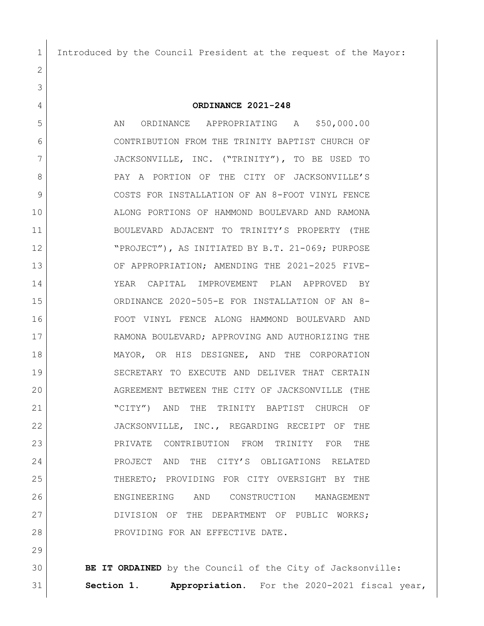Introduced by the Council President at the request of the Mayor:

**ORDINANCE 2021-248**

5 AN ORDINANCE APPROPRIATING A \$50,000.00 CONTRIBUTION FROM THE TRINITY BAPTIST CHURCH OF JACKSONVILLE, INC. ("TRINITY"), TO BE USED TO 8 PAY A PORTION OF THE CITY OF JACKSONVILLE'S COSTS FOR INSTALLATION OF AN 8-FOOT VINYL FENCE ALONG PORTIONS OF HAMMOND BOULEVARD AND RAMONA BOULEVARD ADJACENT TO TRINITY'S PROPERTY (THE "PROJECT"), AS INITIATED BY B.T. 21-069; PURPOSE OF APPROPRIATION; AMENDING THE 2021-2025 FIVE- YEAR CAPITAL IMPROVEMENT PLAN APPROVED BY ORDINANCE 2020-505-E FOR INSTALLATION OF AN 8- FOOT VINYL FENCE ALONG HAMMOND BOULEVARD AND RAMONA BOULEVARD; APPROVING AND AUTHORIZING THE MAYOR, OR HIS DESIGNEE, AND THE CORPORATION SECRETARY TO EXECUTE AND DELIVER THAT CERTAIN AGREEMENT BETWEEN THE CITY OF JACKSONVILLE (THE "CITY") AND THE TRINITY BAPTIST CHURCH OF 22 JACKSONVILLE, INC., REGARDING RECEIPT OF THE PRIVATE CONTRIBUTION FROM TRINITY FOR THE PROJECT AND THE CITY'S OBLIGATIONS RELATED THERETO; PROVIDING FOR CITY OVERSIGHT BY THE ENGINEERING AND CONSTRUCTION MANAGEMENT 27 DIVISION OF THE DEPARTMENT OF PUBLIC WORKS; 28 PROVIDING FOR AN EFFECTIVE DATE.

 **BE IT ORDAINED** by the Council of the City of Jacksonville: **Section 1. Appropriation.** For the 2020-2021 fiscal year,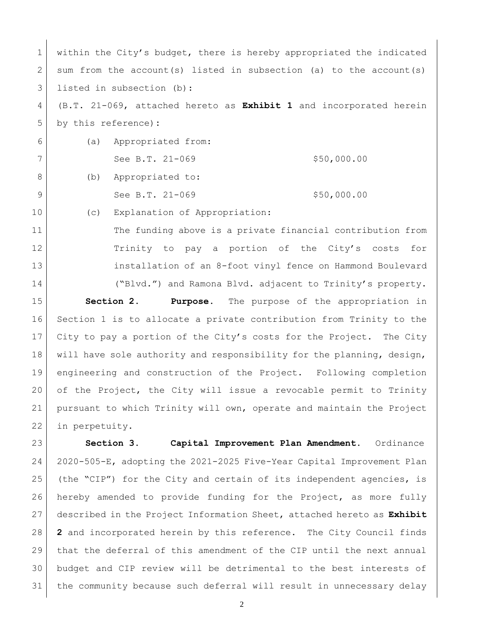1 within the City's budget, there is hereby appropriated the indicated 2 sum from the account(s) listed in subsection (a) to the account(s) 3 listed in subsection (b):

 (B.T. 21-069, attached hereto as **Exhibit 1** and incorporated herein by this reference)**:**

| 6 |     | (a) Appropriated from: |             |
|---|-----|------------------------|-------------|
|   |     | See B.T. 21-069        | \$50,000.00 |
|   | (b) | Appropriated to:       |             |

See B.T. 21-069 \$50,000.00

10 (c) Explanation of Appropriation:

11 The funding above is a private financial contribution from Trinity to pay a portion of the City's costs for installation of an 8-foot vinyl fence on Hammond Boulevard 14 ("Blvd.") and Ramona Blvd. adjacent to Trinity's property.

 **Section 2. Purpose**. The purpose of the appropriation in Section 1 is to allocate a private contribution from Trinity to the City to pay a portion of the City's costs for the Project. The City 18 will have sole authority and responsibility for the planning, design, engineering and construction of the Project. Following completion of the Project, the City will issue a revocable permit to Trinity pursuant to which Trinity will own, operate and maintain the Project in perpetuity.

 **Section 3. Capital Improvement Plan Amendment.** Ordinance 2020-505-E, adopting the 2021-2025 Five-Year Capital Improvement Plan (the "CIP") for the City and certain of its independent agencies, is hereby amended to provide funding for the Project, as more fully described in the Project Information Sheet, attached hereto as **Exhibit 2** and incorporated herein by this reference. The City Council finds that the deferral of this amendment of the CIP until the next annual budget and CIP review will be detrimental to the best interests of the community because such deferral will result in unnecessary delay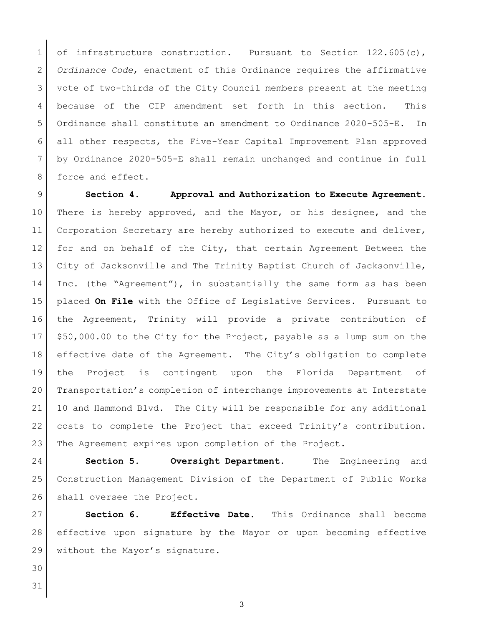1 of infrastructure construction. Pursuant to Section 122.605(c), *Ordinance Code*, enactment of this Ordinance requires the affirmative vote of two-thirds of the City Council members present at the meeting because of the CIP amendment set forth in this section. This Ordinance shall constitute an amendment to Ordinance 2020-505-E. In all other respects, the Five-Year Capital Improvement Plan approved by Ordinance 2020-505-E shall remain unchanged and continue in full 8 force and effect.

 **Section 4. Approval and Authorization to Execute Agreement.** 10 There is hereby approved, and the Mayor, or his designee, and the 11 Corporation Secretary are hereby authorized to execute and deliver, 12 for and on behalf of the City, that certain Agreement Between the 13 City of Jacksonville and The Trinity Baptist Church of Jacksonville, 14 Inc. (the "Agreement"), in substantially the same form as has been placed **On File** with the Office of Legislative Services. Pursuant to the Agreement, Trinity will provide a private contribution of \$50,000.00 to the City for the Project, payable as a lump sum on the 18 effective date of the Agreement. The City's obligation to complete the Project is contingent upon the Florida Department of Transportation's completion of interchange improvements at Interstate 10 and Hammond Blvd. The City will be responsible for any additional costs to complete the Project that exceed Trinity's contribution. The Agreement expires upon completion of the Project.

 **Section 5. Oversight Department.** The Engineering and Construction Management Division of the Department of Public Works 26 shall oversee the Project.

 **Section 6. Effective Date.** This Ordinance shall become effective upon signature by the Mayor or upon becoming effective 29 without the Mayor's signature.